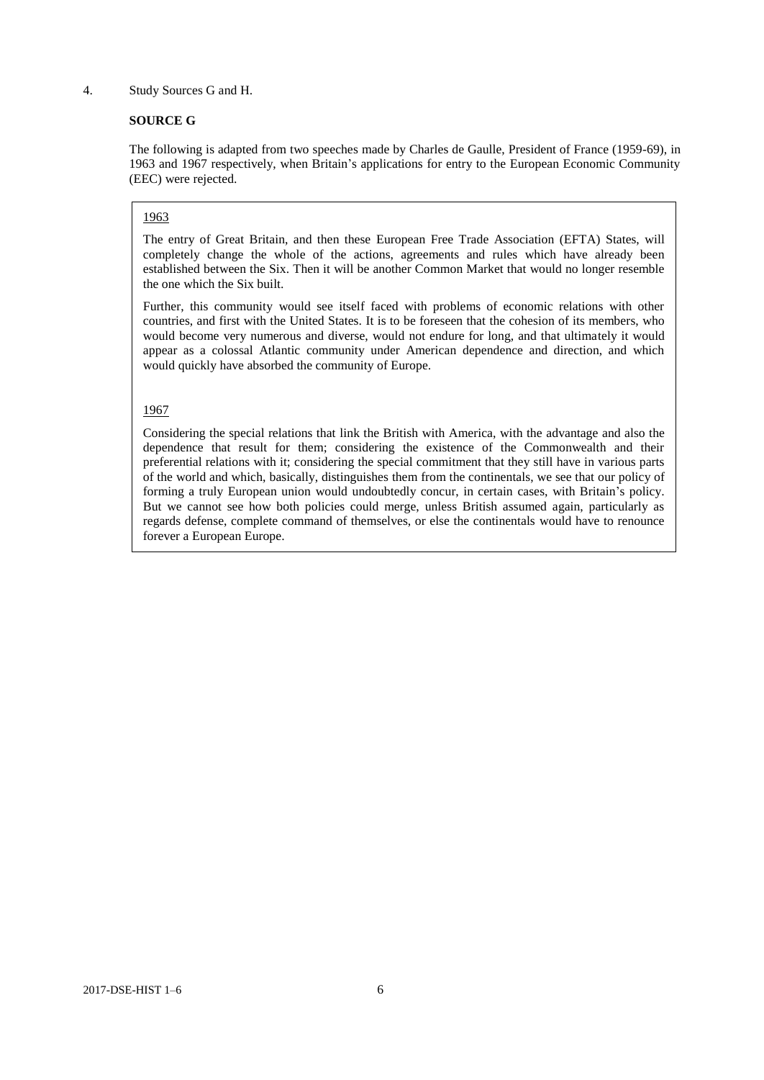#### 4. Study Sources G and H.

### **SOURCE G**

The following is adapted from two speeches made by Charles de Gaulle, President of France (1959-69), in 1963 and 1967 respectively, when Britain's applications for entry to the European Economic Community (EEC) were rejected.

#### 1963

The entry of Great Britain, and then these European Free Trade Association (EFTA) States, will completely change the whole of the actions, agreements and rules which have already been established between the Six. Then it will be another Common Market that would no longer resemble the one which the Six built.

Further, this community would see itself faced with problems of economic relations with other countries, and first with the United States. It is to be foreseen that the cohesion of its members, who would become very numerous and diverse, would not endure for long, and that ultimately it would appear as a colossal Atlantic community under American dependence and direction, and which would quickly have absorbed the community of Europe.

#### 1967

Considering the special relations that link the British with America, with the advantage and also the dependence that result for them; considering the existence of the Commonwealth and their preferential relations with it; considering the special commitment that they still have in various parts of the world and which, basically, distinguishes them from the continentals, we see that our policy of forming a truly European union would undoubtedly concur, in certain cases, with Britain's policy. But we cannot see how both policies could merge, unless British assumed again, particularly as regards defense, complete command of themselves, or else the continentals would have to renounce forever a European Europe.